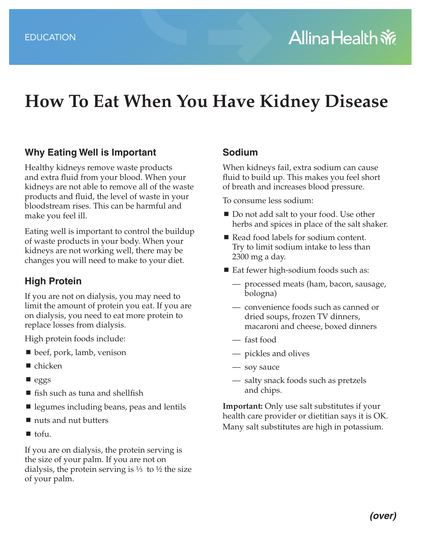# **How To Eat When You Have Kidney Disease**

#### **Why Eating Well is Important**

Healthy kidneys remove waste products and extra fluid from your blood. When your kidneys are not able to remove all of the waste products and fluid, the level of waste in your bloodstream rises. This can be harmful and make you feel ill.

Eating well is important to control the buildup of waste products in your body. When your kidneys are not working well, there may be changes you will need to make to your diet.

#### **High Protein**

If you are not on dialysis, you may need to limit the amount of protein you eat. If you are on dialysis, you need to eat more protein to replace losses from dialysis.

High protein foods include:

- beef, pork, lamb, venison
- $\blacksquare$  chicken
- $\blacksquare$  eggs
- fish such as tuna and shellfish
- **E** legumes including beans, peas and lentils
- nuts and nut butters
- $\blacksquare$  tofu.

If you are on dialysis, the protein serving is the size of your palm. If you are not on dialysis, the protein serving is  $\frac{1}{3}$  to  $\frac{1}{2}$  the size of your palm.

#### **Sodium**

When kidneys fail, extra sodium can cause fluid to build up. This makes you feel short of breath and increases blood pressure.

To consume less sodium:

- Do not add salt to your food. Use other herbs and spices in place of the salt shaker.
- Read food labels for sodium content. Try to limit sodium intake to less than 2300 mg a day.
- Eat fewer high-sodium foods such as:
	- processed meats (ham, bacon, sausage, bologna)
	- convenience foods such as canned or dried soups, frozen TV dinners, macaroni and cheese, boxed dinners
	- fast food
	- pickles and olives
	- soy sauce
	- salty snack foods such as pretzels and chips.

**Important:** Only use salt substitutes if your health care provider or dietitian says it is OK. Many salt substitutes are high in potassium.